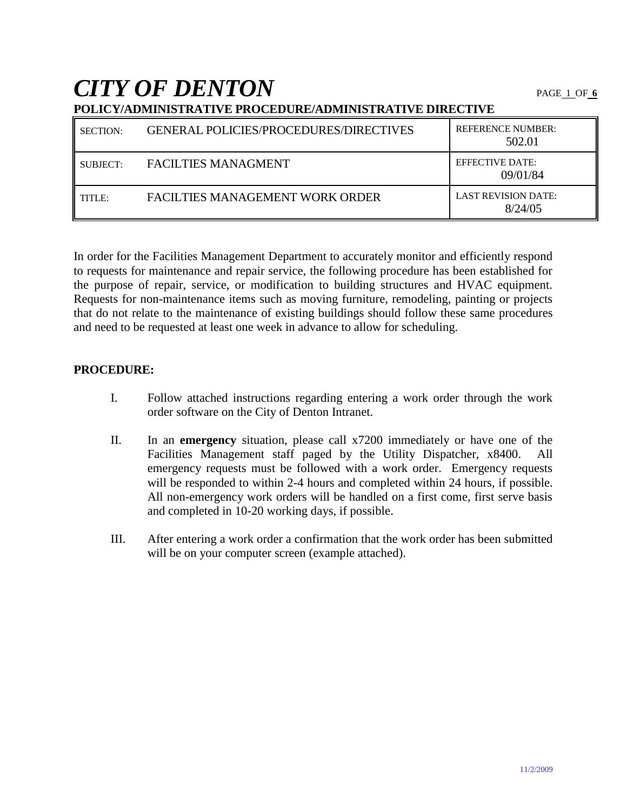*CITY OF DENTON* PAGE 1 OF**<sup>6</sup>**

| <b>SECTION:</b> | <b>GENERAL POLICIES/PROCEDURES/DIRECTIVES</b> | <b>REFERENCE NUMBER:</b><br>502.01    |  |
|-----------------|-----------------------------------------------|---------------------------------------|--|
| SUBJECT:        | <b>FACILTIES MANAGMENT</b>                    | <b>EFFECTIVE DATE:</b><br>09/01/84    |  |
| TITLE:          | FACILTIES MANAGEMENT WORK ORDER               | <b>LAST REVISION DATE:</b><br>8/24/05 |  |

**POLICY/ADMINISTRATIVE PROCEDURE/ADMINISTRATIVE DIRECTIVE**

In order for the Facilities Management Department to accurately monitor and efficiently respond to requests for maintenance and repair service, the following procedure has been established for the purpose of repair, service, or modification to building structures and HVAC equipment. Requests for non-maintenance items such as moving furniture, remodeling, painting or projects that do not relate to the maintenance of existing buildings should follow these same procedures and need to be requested at least one week in advance to allow for scheduling.

### **PROCEDURE:**

- I. Follow attached instructions regarding entering a work order through the work order software on the City of Denton Intranet.
- II. In an **emergency** situation, please call x7200 immediately or have one of the Facilities Management staff paged by the Utility Dispatcher, x8400. All emergency requests must be followed with a work order. Emergency requests will be responded to within 2-4 hours and completed within 24 hours, if possible. All non-emergency work orders will be handled on a first come, first serve basis and completed in 10-20 working days, if possible.
- III. After entering a work order a confirmation that the work order has been submitted will be on your computer screen (example attached).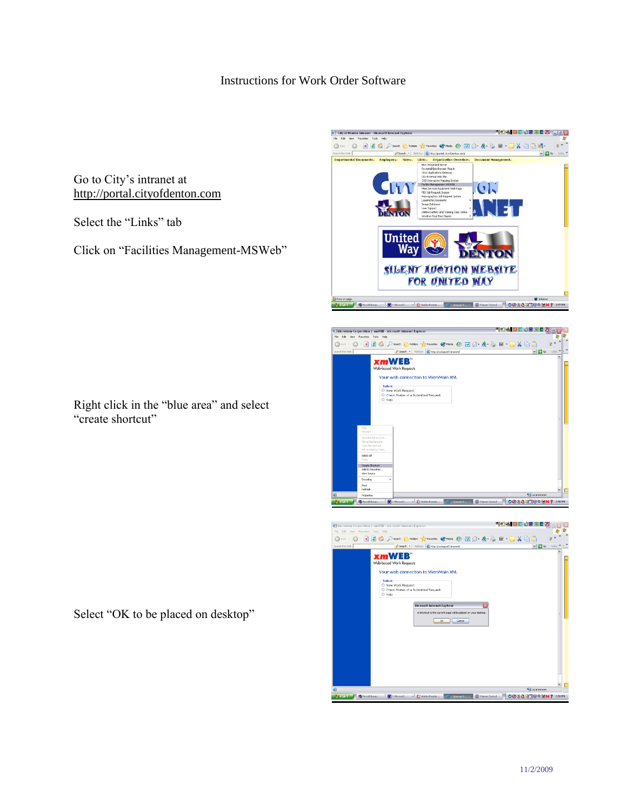## Instructions for Work Order Software

Go to City's intranet at [http://portal.cityofdenton.com](http://portal.cityofdenton.com/)

Select the "Links" tab

Click on "Facilities Management-MSWeb"

Right click in the "blue area" and select "create shortcut"

Select "OK to be placed on desktop"

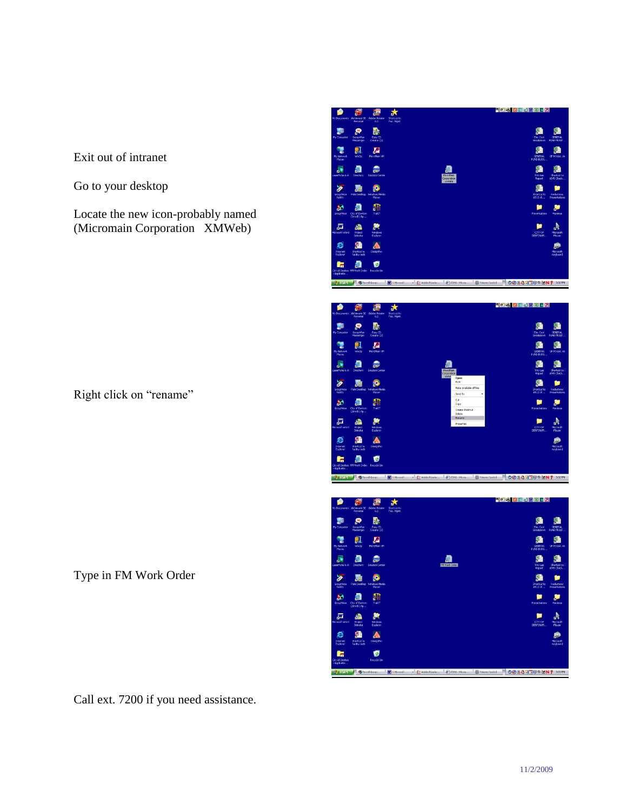Exit out of intranet

Go to your desktop

Locate the new icon-probably named (Micromain Corporation XMWeb)

Right click on "rename"

Type in FM Work Order

Call ext. 7200 if you need assistance.



OO 36 ROUPENT 3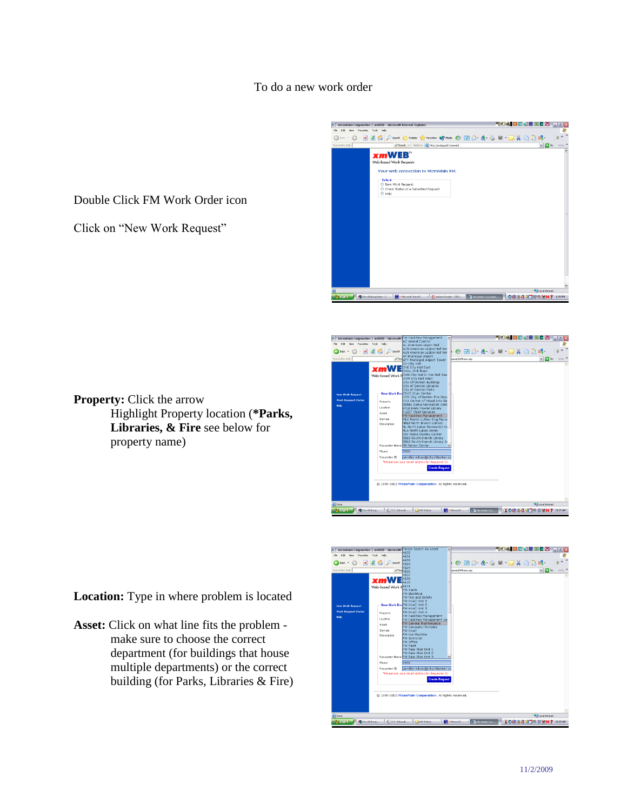#### To do a new work order

Double Click FM Work Order icon

Click on "New Work Request"

**Property:** Click the arrow





property name)

Highlight Property location (**\*Parks, Libraries, & Fire** see below for

**Location:** Type in where problem is located

**Asset:** Click on what line fits the problem make sure to choose the correct department (for buildings that house multiple departments) or the correct building (for Parks, Libraries & Fire)

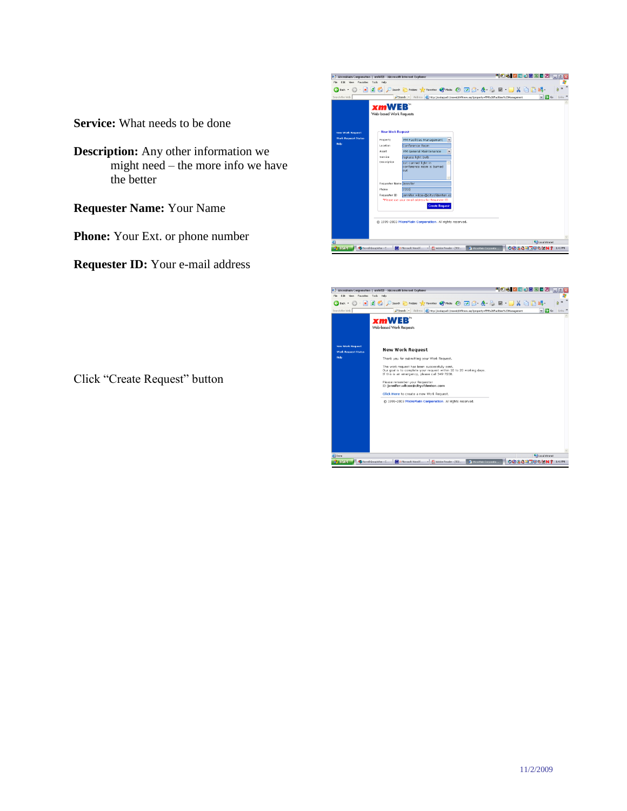**Service:** What needs to be done

- **Description:** Any other information we might need – the more info we have the better
- **Requester Name:** Your Name

**Phone:** Your Ext. or phone number

**Requester ID:** Your e-mail address

Click "Create Request" button